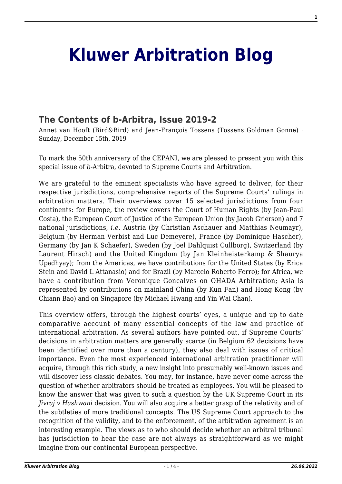## **[Kluwer Arbitration Blog](http://arbitrationblog.kluwerarbitration.com/)**

## **[The Contents of b-Arbitra, Issue 2019-2](http://arbitrationblog.kluwerarbitration.com/2019/12/15/the-contents-of-b-arbitra-issue-2019-2/)**

Annet van Hooft (Bird&Bird) and Jean-François Tossens (Tossens Goldman Gonne) · Sunday, December 15th, 2019

To mark the 50th anniversary of the CEPANI, we are pleased to present you with this special issue of *b*-Arbitra, devoted to Supreme Courts and Arbitration.

We are grateful to the eminent specialists who have agreed to deliver, for their respective jurisdictions, comprehensive reports of the Supreme Courts' rulings in arbitration matters. Their overviews cover 15 selected jurisdictions from four continents: for Europe, the review covers the Court of Human Rights (by Jean-Paul Costa), the European Court of Justice of the European Union (by Jacob Grierson) and 7 national jurisdictions, *i.e*. Austria (by Christian Aschauer and Matthias Neumayr), Belgium (by Herman Verbist and Luc Demeyere), France (by Dominique Hascher), Germany (by Jan K Schaefer), Sweden (by Joel Dahlquist Cullborg), Switzerland (by Laurent Hirsch) and the United Kingdom (by Jan Kleinheisterkamp & Shaurya Upadhyay); from the Americas, we have contributions for the United States (by Erica Stein and David L Attanasio) and for Brazil (by Marcelo Roberto Ferro); for Africa, we have a contribution from Veronique Goncalves on OHADA Arbitration; Asia is represented by contributions on mainland China (by Kun Fan) and Hong Kong (by Chiann Bao) and on Singapore (by Michael Hwang and Yin Wai Chan).

This overview offers, through the highest courts' eyes, a unique and up to date comparative account of many essential concepts of the law and practice of international arbitration. As several authors have pointed out, if Supreme Courts' decisions in arbitration matters are generally scarce (in Belgium 62 decisions have been identified over more than a century), they also deal with issues of critical importance. Even the most experienced international arbitration practitioner will acquire, through this rich study, a new insight into presumably well-known issues and will discover less classic debates. You may, for instance, have never come across the question of whether arbitrators should be treated as employees. You will be pleased to know the answer that was given to such a question by the UK Supreme Court in its *Jivraj v Hashwani* decision. You will also acquire a better grasp of the relativity and of the subtleties of more traditional concepts. The US Supreme Court approach to the recognition of the validity, and to the enforcement, of the arbitration agreement is an interesting example. The views as to who should decide whether an arbitral tribunal has jurisdiction to hear the case are not always as straightforward as we might imagine from our continental European perspective.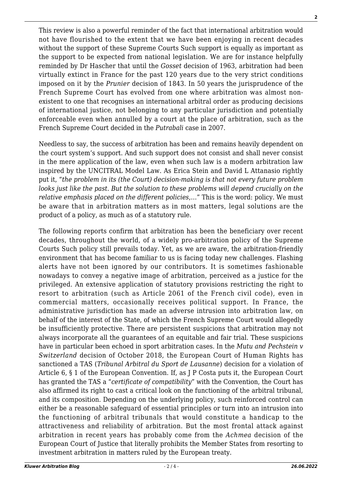This review is also a powerful reminder of the fact that international arbitration would not have flourished to the extent that we have been enjoying in recent decades without the support of these Supreme Courts Such support is equally as important as the support to be expected from national legislation. We are for instance helpfully reminded by Dr Hascher that until the *Gosset* decision of 1963, arbitration had been virtually extinct in France for the past 120 years due to the very strict conditions imposed on it by the *Prunier* decision of 1843. In 50 years the jurisprudence of the French Supreme Court has evolved from one where arbitration was almost nonexistent to one that recognises an international arbitral order as producing decisions of international justice, not belonging to any particular jurisdiction and potentially enforceable even when annulled by a court at the place of arbitration, such as the French Supreme Court decided in the *Putrabali* case in 2007.

Needless to say, the success of arbitration has been and remains heavily dependent on the court system's support. And such support does not consist and shall never consist in the mere application of the law, even when such law is a modern arbitration law inspired by the UNCITRAL Model Law. As Erica Stein and David L Attanasio rightly put it, "*the problem in its (the Court) decision-making is that not every future problem looks just like the past. But the solution to these problems will depend crucially on the relative emphasis placed on the different policies*,…" This is the word: policy. We must be aware that in arbitration matters as in most matters, legal solutions are the product of a policy, as much as of a statutory rule.

The following reports confirm that arbitration has been the beneficiary over recent decades, throughout the world, of a widely pro-arbitration policy of the Supreme Courts Such policy still prevails today. Yet, as we are aware, the arbitration-friendly environment that has become familiar to us is facing today new challenges. Flashing alerts have not been ignored by our contributors. It is sometimes fashionable nowadays to convey a negative image of arbitration, perceived as a justice for the privileged. An extensive application of statutory provisions restricting the right to resort to arbitration (such as Article 2061 of the French civil code), even in commercial matters, occasionally receives political support. In France, the administrative jurisdiction has made an adverse intrusion into arbitration law, on behalf of the interest of the State, of which the French Supreme Court would allegedly be insufficiently protective. There are persistent suspicions that arbitration may not always incorporate all the guarantees of an equitable and fair trial. These suspicions have in particular been echoed in sport arbitration cases. In the *Mutu and Pechstein v Switzerland* decision of October 2018, the European Court of Human Rights has sanctioned a TAS (*Tribunal Arbitral du Sport de Lausanne*) decision for a violation of Article 6, § 1 of the European Convention. If, as J P Costa puts it, the European Court has granted the TAS a "*certificate of compatibility*" with the Convention, the Court has also affirmed its right to cast a critical look on the functioning of the arbitral tribunal, and its composition. Depending on the underlying policy, such reinforced control can either be a reasonable safeguard of essential principles or turn into an intrusion into the functioning of arbitral tribunals that would constitute a handicap to the attractiveness and reliability of arbitration. But the most frontal attack against arbitration in recent years has probably come from the *Achmea* decision of the European Court of Justice that literally prohibits the Member States from resorting to investment arbitration in matters ruled by the European treaty.

**2**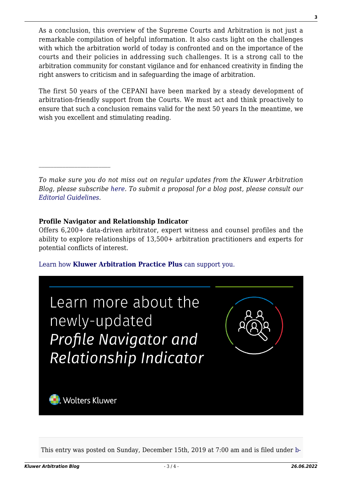As a conclusion, this overview of the Supreme Courts and Arbitration is not just a remarkable compilation of helpful information. It also casts light on the challenges with which the arbitration world of today is confronted and on the importance of the courts and their policies in addressing such challenges. It is a strong call to the arbitration community for constant vigilance and for enhanced creativity in finding the right answers to criticism and in safeguarding the image of arbitration.

The first 50 years of the CEPANI have been marked by a steady development of arbitration-friendly support from the Courts. We must act and think proactively to ensure that such a conclusion remains valid for the next 50 years In the meantime, we wish you excellent and stimulating reading.

*To make sure you do not miss out on regular updates from the Kluwer Arbitration Blog, please subscribe [here](http://arbitrationblog.kluwerarbitration.com/newsletter/). To submit a proposal for a blog post, please consult our [Editorial Guidelines.](http://arbitrationblog.kluwerarbitration.com/editorial-guidelines/)*

## **Profile Navigator and Relationship Indicator**

Offers 6,200+ data-driven arbitrator, expert witness and counsel profiles and the ability to explore relationships of 13,500+ arbitration practitioners and experts for potential conflicts of interest.

[Learn how](https://www.wolterskluwer.com/en/solutions/kluwerarbitration/practiceplus?utm_source=arbitrationblog&utm_medium=articleCTA&utm_campaign=article-banner) **[Kluwer Arbitration Practice Plus](https://www.wolterskluwer.com/en/solutions/kluwerarbitration/practiceplus?utm_source=arbitrationblog&utm_medium=articleCTA&utm_campaign=article-banner)** [can support you.](https://www.wolterskluwer.com/en/solutions/kluwerarbitration/practiceplus?utm_source=arbitrationblog&utm_medium=articleCTA&utm_campaign=article-banner)



This entry was posted on Sunday, December 15th, 2019 at 7:00 am and is filed under [b-](http://arbitrationblog.kluwerarbitration.com/category/b-arbitra-belgian-review-of-arbitration/)